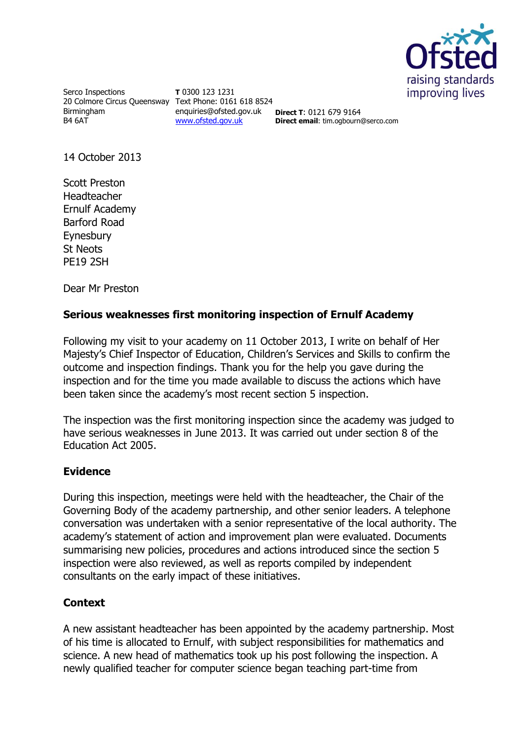

Serco Inspections 20 Colmore Circus Queensway Text Phone: 0161 618 8524 Birmingham B4 6AT

**T** 0300 123 1231 enquiries@ofsted.gov.uk **Direct T**: 0121 679 9164 [www.ofsted.gov.uk](http://www.ofsted.gov.uk/)

**Direct email**: tim.ogbourn@serco.com

14 October 2013

Scott Preston Headteacher Ernulf Academy Barford Road Eynesbury St Neots PE19 2SH

Dear Mr Preston

## **Serious weaknesses first monitoring inspection of Ernulf Academy**

Following my visit to your academy on 11 October 2013, I write on behalf of Her Majesty's Chief Inspector of Education, Children's Services and Skills to confirm the outcome and inspection findings. Thank you for the help you gave during the inspection and for the time you made available to discuss the actions which have been taken since the academy's most recent section 5 inspection.

The inspection was the first monitoring inspection since the academy was judged to have serious weaknesses in June 2013. It was carried out under section 8 of the Education Act 2005.

## **Evidence**

During this inspection, meetings were held with the headteacher, the Chair of the Governing Body of the academy partnership, and other senior leaders. A telephone conversation was undertaken with a senior representative of the local authority. The academy's statement of action and improvement plan were evaluated. Documents summarising new policies, procedures and actions introduced since the section 5 inspection were also reviewed, as well as reports compiled by independent consultants on the early impact of these initiatives.

## **Context**

A new assistant headteacher has been appointed by the academy partnership. Most of his time is allocated to Ernulf, with subject responsibilities for mathematics and science. A new head of mathematics took up his post following the inspection. A newly qualified teacher for computer science began teaching part-time from